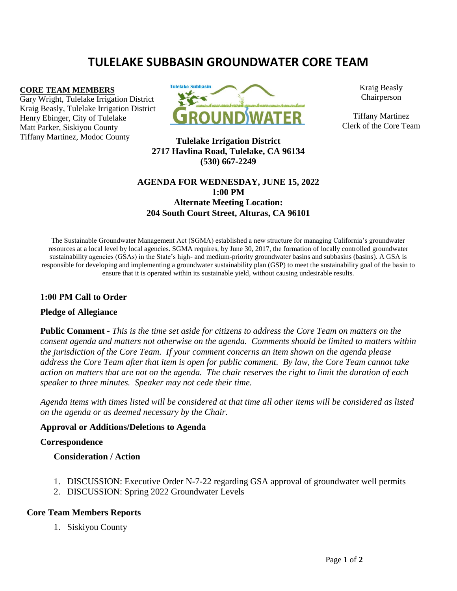# **TULELAKE SUBBASIN GROUNDWATER CORE TEAM**

#### **CORE TEAM MEMBERS**

Gary Wright, Tulelake Irrigation District Kraig Beasly, Tulelake Irrigation District Henry Ebinger, City of Tulelake Matt Parker, Siskiyou County Tiffany Martinez, Modoc County



Kraig Beasly Chairperson

Tiffany Martinez Clerk of the Core Team

**Tulelake Irrigation District 2717 Havlina Road, Tulelake, CA 96134 (530) 667-2249**

## **AGENDA FOR WEDNESDAY, JUNE 15, 2022 1:00 PM Alternate Meeting Location: 204 South Court Street, Alturas, CA 96101**

The Sustainable Groundwater Management Act (SGMA) established a new structure for managing California's groundwater resources at a local level by local agencies. SGMA requires, by June 30, 2017, the formation of locally controlled groundwater sustainability agencies (GSAs) in the State's high- and medium-priority groundwater basins and subbasins (basins). A GSA is responsible for developing and implementing a groundwater sustainability plan (GSP) to meet the sustainability goal of the basin to ensure that it is operated within its sustainable yield, without causing undesirable results.

## **1:00 PM Call to Order**

#### **Pledge of Allegiance**

**Public Comment -** *This is the time set aside for citizens to address the Core Team on matters on the consent agenda and matters not otherwise on the agenda. Comments should be limited to matters within the jurisdiction of the Core Team. If your comment concerns an item shown on the agenda please address the Core Team after that item is open for public comment. By law, the Core Team cannot take action on matters that are not on the agenda. The chair reserves the right to limit the duration of each speaker to three minutes. Speaker may not cede their time.*

*Agenda items with times listed will be considered at that time all other items will be considered as listed on the agenda or as deemed necessary by the Chair.*

#### **Approval or Additions/Deletions to Agenda**

#### **Correspondence**

#### **Consideration / Action**

- 1. DISCUSSION: Executive Order N-7-22 regarding GSA approval of groundwater well permits
- 2. DISCUSSION: Spring 2022 Groundwater Levels

## **Core Team Members Reports**

1. Siskiyou County